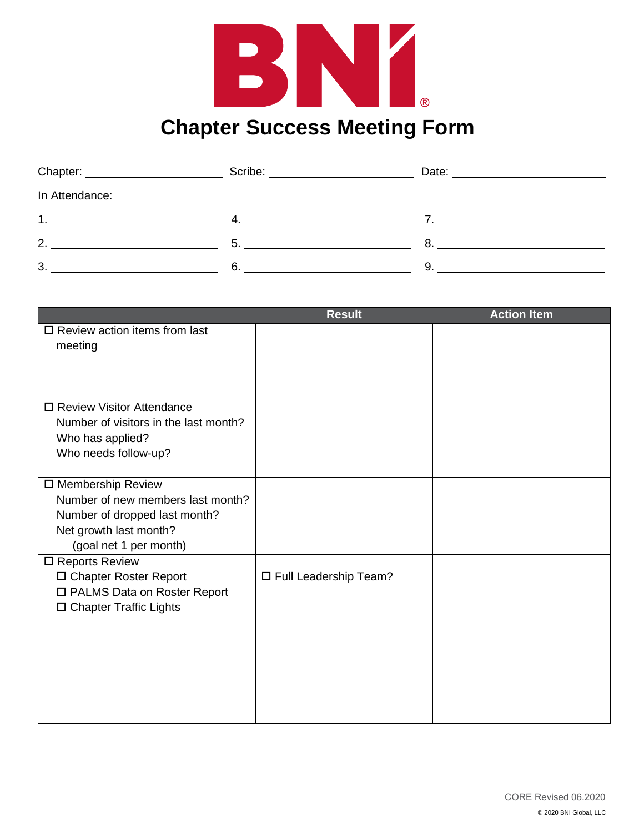

| Chapter: _________________ | Scribe: | Date: |
|----------------------------|---------|-------|
| In Attendance:             |         |       |
| 1.                         | 4       |       |
| $\overline{2}$             | 5       | 8     |
| 3.                         | 6.      | 9     |

|                                       | <b>Result</b>           | <b>Action Item</b> |
|---------------------------------------|-------------------------|--------------------|
| $\Box$ Review action items from last  |                         |                    |
| meeting                               |                         |                    |
|                                       |                         |                    |
|                                       |                         |                    |
|                                       |                         |                    |
| □ Review Visitor Attendance           |                         |                    |
| Number of visitors in the last month? |                         |                    |
| Who has applied?                      |                         |                    |
| Who needs follow-up?                  |                         |                    |
|                                       |                         |                    |
| □ Membership Review                   |                         |                    |
| Number of new members last month?     |                         |                    |
| Number of dropped last month?         |                         |                    |
| Net growth last month?                |                         |                    |
| (goal net 1 per month)                |                         |                    |
| □ Reports Review                      |                         |                    |
| □ Chapter Roster Report               | □ Full Leadership Team? |                    |
| □ PALMS Data on Roster Report         |                         |                    |
| □ Chapter Traffic Lights              |                         |                    |
|                                       |                         |                    |
|                                       |                         |                    |
|                                       |                         |                    |
|                                       |                         |                    |
|                                       |                         |                    |
|                                       |                         |                    |
|                                       |                         |                    |